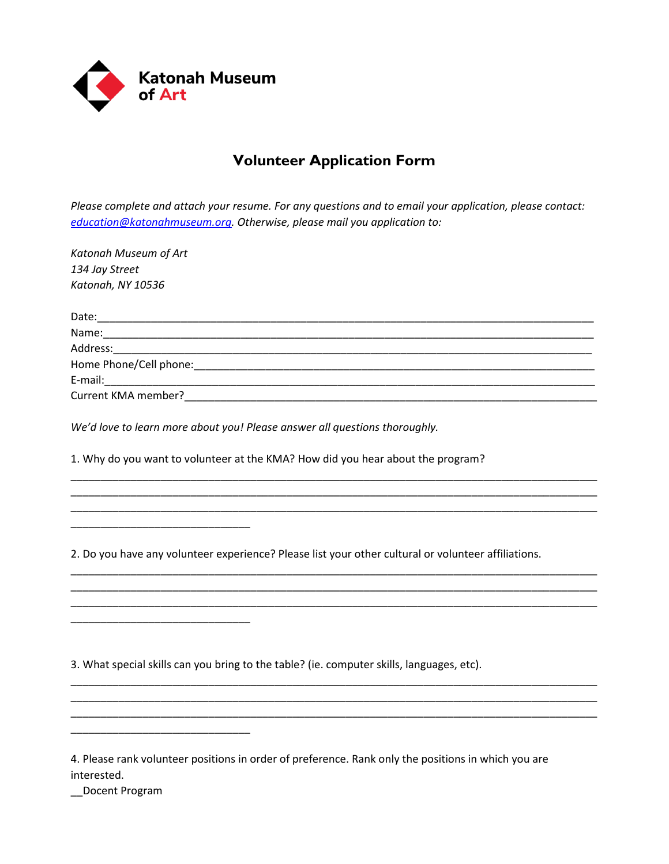

## **Volunteer Application Form**

*Please complete and attach your resume. For any questions and to email your application, please contact: [education@katonahmuseum.org.](mailto:education@katonahmuseum.org) Otherwise, please mail you application to:*

*Katonah Museum of Art 134 Jay Street Katonah, NY 10536*

\_\_\_\_\_\_\_\_\_\_\_\_\_\_\_\_\_\_\_\_\_\_\_\_\_\_\_\_\_\_

\_\_\_\_\_\_\_\_\_\_\_\_\_\_\_\_\_\_\_\_\_\_\_\_\_\_\_\_\_\_

\_\_\_\_\_\_\_\_\_\_\_\_\_\_\_\_\_\_\_\_\_\_\_\_\_\_\_\_\_\_

| Date:                                                                                                                                                                                                                          |
|--------------------------------------------------------------------------------------------------------------------------------------------------------------------------------------------------------------------------------|
| Name:                                                                                                                                                                                                                          |
| Address:                                                                                                                                                                                                                       |
|                                                                                                                                                                                                                                |
| E-mail: E-mail: E-mail: E-mail: E-mail: E-mail: E-mail: E-mail: E-mail: E-mail: E-mail: E-mail: E-mail: E-mail: E-mail: E-mail: E-mail: E-mail: E-mail: E-mail: E-mail: E-mail: E-mail: E-mail: E-mail: E-mail: E-mail: E-mail |
| Current KMA member?                                                                                                                                                                                                            |

\_\_\_\_\_\_\_\_\_\_\_\_\_\_\_\_\_\_\_\_\_\_\_\_\_\_\_\_\_\_\_\_\_\_\_\_\_\_\_\_\_\_\_\_\_\_\_\_\_\_\_\_\_\_\_\_\_\_\_\_\_\_\_\_\_\_\_\_\_\_\_\_\_\_\_\_\_\_\_\_\_\_\_\_\_\_\_\_ \_\_\_\_\_\_\_\_\_\_\_\_\_\_\_\_\_\_\_\_\_\_\_\_\_\_\_\_\_\_\_\_\_\_\_\_\_\_\_\_\_\_\_\_\_\_\_\_\_\_\_\_\_\_\_\_\_\_\_\_\_\_\_\_\_\_\_\_\_\_\_\_\_\_\_\_\_\_\_\_\_\_\_\_\_\_\_\_ \_\_\_\_\_\_\_\_\_\_\_\_\_\_\_\_\_\_\_\_\_\_\_\_\_\_\_\_\_\_\_\_\_\_\_\_\_\_\_\_\_\_\_\_\_\_\_\_\_\_\_\_\_\_\_\_\_\_\_\_\_\_\_\_\_\_\_\_\_\_\_\_\_\_\_\_\_\_\_\_\_\_\_\_\_\_\_\_

\_\_\_\_\_\_\_\_\_\_\_\_\_\_\_\_\_\_\_\_\_\_\_\_\_\_\_\_\_\_\_\_\_\_\_\_\_\_\_\_\_\_\_\_\_\_\_\_\_\_\_\_\_\_\_\_\_\_\_\_\_\_\_\_\_\_\_\_\_\_\_\_\_\_\_\_\_\_\_\_\_\_\_\_\_\_\_\_ \_\_\_\_\_\_\_\_\_\_\_\_\_\_\_\_\_\_\_\_\_\_\_\_\_\_\_\_\_\_\_\_\_\_\_\_\_\_\_\_\_\_\_\_\_\_\_\_\_\_\_\_\_\_\_\_\_\_\_\_\_\_\_\_\_\_\_\_\_\_\_\_\_\_\_\_\_\_\_\_\_\_\_\_\_\_\_\_ \_\_\_\_\_\_\_\_\_\_\_\_\_\_\_\_\_\_\_\_\_\_\_\_\_\_\_\_\_\_\_\_\_\_\_\_\_\_\_\_\_\_\_\_\_\_\_\_\_\_\_\_\_\_\_\_\_\_\_\_\_\_\_\_\_\_\_\_\_\_\_\_\_\_\_\_\_\_\_\_\_\_\_\_\_\_\_\_

\_\_\_\_\_\_\_\_\_\_\_\_\_\_\_\_\_\_\_\_\_\_\_\_\_\_\_\_\_\_\_\_\_\_\_\_\_\_\_\_\_\_\_\_\_\_\_\_\_\_\_\_\_\_\_\_\_\_\_\_\_\_\_\_\_\_\_\_\_\_\_\_\_\_\_\_\_\_\_\_\_\_\_\_\_\_\_\_ \_\_\_\_\_\_\_\_\_\_\_\_\_\_\_\_\_\_\_\_\_\_\_\_\_\_\_\_\_\_\_\_\_\_\_\_\_\_\_\_\_\_\_\_\_\_\_\_\_\_\_\_\_\_\_\_\_\_\_\_\_\_\_\_\_\_\_\_\_\_\_\_\_\_\_\_\_\_\_\_\_\_\_\_\_\_\_\_ \_\_\_\_\_\_\_\_\_\_\_\_\_\_\_\_\_\_\_\_\_\_\_\_\_\_\_\_\_\_\_\_\_\_\_\_\_\_\_\_\_\_\_\_\_\_\_\_\_\_\_\_\_\_\_\_\_\_\_\_\_\_\_\_\_\_\_\_\_\_\_\_\_\_\_\_\_\_\_\_\_\_\_\_\_\_\_\_

*We'd love to learn more about you! Please answer all questions thoroughly.* 

1. Why do you want to volunteer at the KMA? How did you hear about the program?

2. Do you have any volunteer experience? Please list your other cultural or volunteer affiliations.

3. What special skills can you bring to the table? (ie. computer skills, languages, etc).

| 4. Please rank volunteer positions in order of preference. Rank only the positions in which you are |  |  |
|-----------------------------------------------------------------------------------------------------|--|--|
| interested.                                                                                         |  |  |

\_\_Docent Program